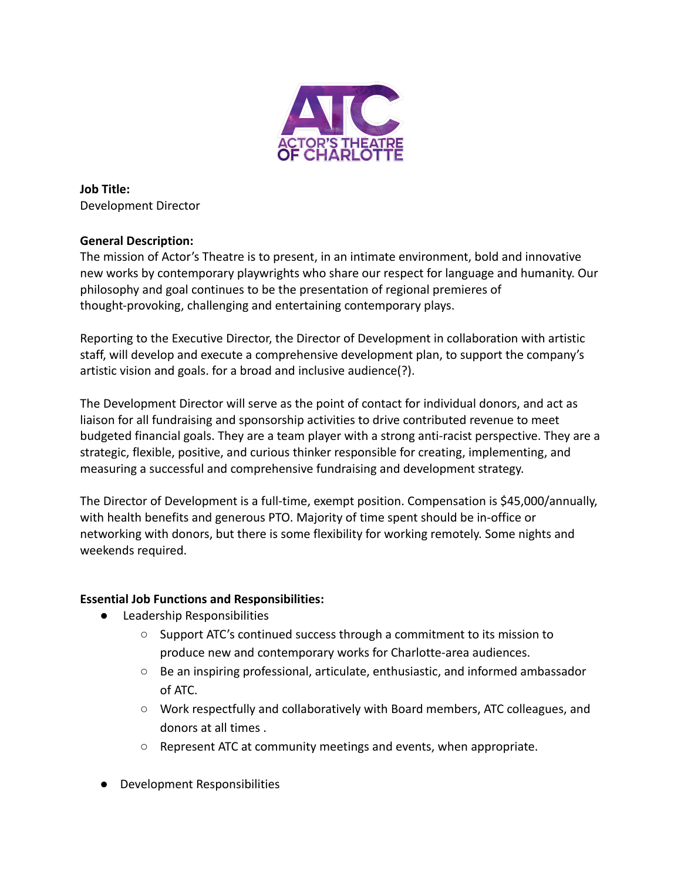

**Job Title:** Development Director

# **General Description:**

The mission of Actor's Theatre is to present, in an intimate environment, bold and innovative new works by contemporary playwrights who share our respect for language and humanity. Our philosophy and goal continues to be the presentation of regional premieres of thought-provoking, challenging and entertaining contemporary plays.

Reporting to the Executive Director, the Director of Development in collaboration with artistic staff, will develop and execute a comprehensive development plan, to support the company's artistic vision and goals. for a broad and inclusive audience(?).

The Development Director will serve as the point of contact for individual donors, and act as liaison for all fundraising and sponsorship activities to drive contributed revenue to meet budgeted financial goals. They are a team player with a strong anti-racist perspective. They are a strategic, flexible, positive, and curious thinker responsible for creating, implementing, and measuring a successful and comprehensive fundraising and development strategy.

The Director of Development is a full-time, exempt position. Compensation is \$45,000/annually, with health benefits and generous PTO. Majority of time spent should be in-office or networking with donors, but there is some flexibility for working remotely. Some nights and weekends required.

# **Essential Job Functions and Responsibilities:**

- Leadership Responsibilities
	- Support ATC's continued success through a commitment to its mission to produce new and contemporary works for Charlotte-area audiences.
	- Be an inspiring professional, articulate, enthusiastic, and informed ambassador of ATC.
	- Work respectfully and collaboratively with Board members, ATC colleagues, and donors at all times .
	- Represent ATC at community meetings and events, when appropriate.
- Development Responsibilities